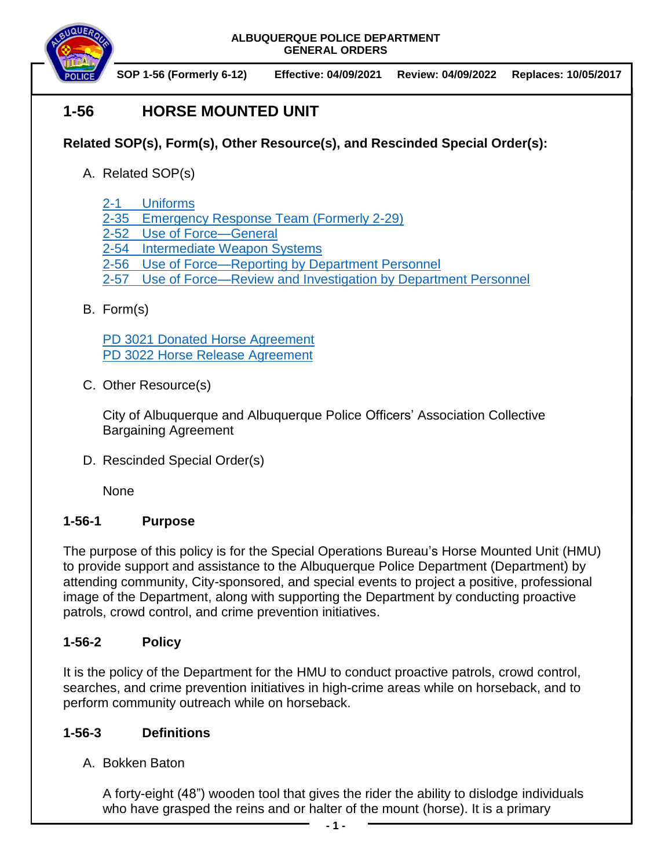

**SOP 1-56 (Formerly 6-12) Effective: 04/09/2021 Review: 04/09/2022 Replaces: 10/05/2017**

# **1-56 HORSE MOUNTED UNIT**

## **Related SOP(s), Form(s), Other Resource(s), and Rescinded Special Order(s):**

- A. Related SOP(s)
	- [2-1 Uniforms](https://powerdms.com/docs/84)
	- 2-35 [Emergency Response Team](https://powerdms.com/docs/68) (Formerly 2-29)
	- 2-52 [Use of Force—General](https://powerdms.com/docs/1897088)
	- [2-54 Intermediate Weapon Systems](https://powerdms.com/docs/1897091)
	- [2-56 Use of Force—Reporting by Department Personnel](https://powerdms.com/docs/1897084)
	- 2-57 [Use of Force—Review and Investigation by Department Personnel](https://powerdms.com/docs/1700599)

## B. Form(s)

[PD 3021 Donated Horse Agreement](https://powerdms.com/docs/2266607) [PD 3022 Horse Release Agreement](https://powerdms.com/docs/2266619)

C. Other Resource(s)

City of Albuquerque and Albuquerque Police Officers' Association Collective Bargaining Agreement

D. Rescinded Special Order(s)

None

## **1-56-1 Purpose**

The purpose of this policy is for the Special Operations Bureau's Horse Mounted Unit (HMU) to provide support and assistance to the Albuquerque Police Department (Department) by attending community, City-sponsored, and special events to project a positive, professional image of the Department, along with supporting the Department by conducting proactive patrols, crowd control, and crime prevention initiatives.

#### **1-56-2 Policy**

It is the policy of the Department for the HMU to conduct proactive patrols, crowd control, searches, and crime prevention initiatives in high-crime areas while on horseback, and to perform community outreach while on horseback.

#### **1-56-3 Definitions**

A. Bokken Baton

A forty-eight (48") wooden tool that gives the rider the ability to dislodge individuals who have grasped the reins and or halter of the mount (horse). It is a primary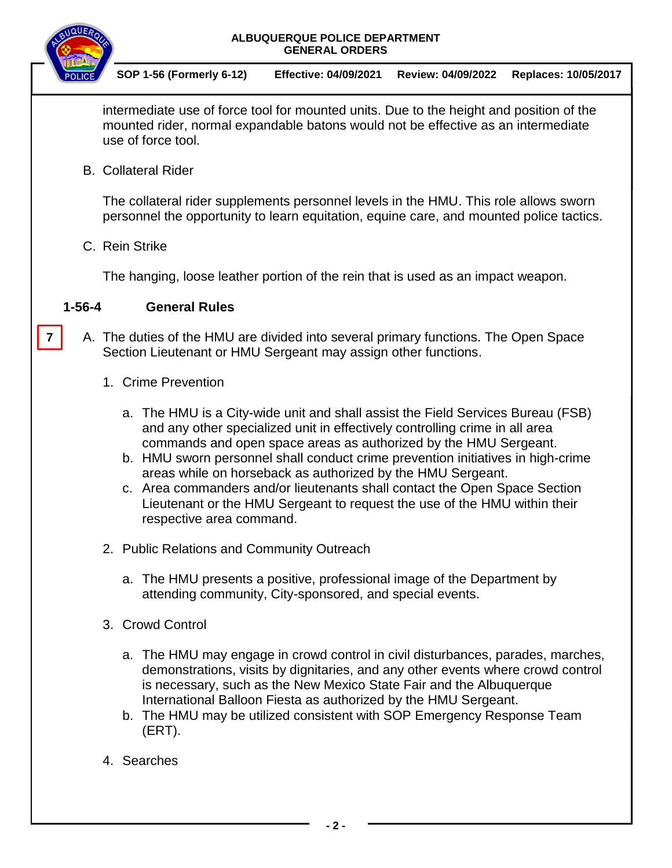

**7**

**SOP 1-56 (Formerly 6-12) Effective: 04/09/2021 Review: 04/09/2022 Replaces: 10/05/2017**

intermediate use of force tool for mounted units. Due to the height and position of the mounted rider, normal expandable batons would not be effective as an intermediate use of force tool.

B. Collateral Rider

The collateral rider supplements personnel levels in the HMU. This role allows sworn personnel the opportunity to learn equitation, equine care, and mounted police tactics.

C. Rein Strike

The hanging, loose leather portion of the rein that is used as an impact weapon.

#### **1-56-4 General Rules**

- A. The duties of the HMU are divided into several primary functions. The Open Space Section Lieutenant or HMU Sergeant may assign other functions.
	- 1. Crime Prevention
		- a. The HMU is a City-wide unit and shall assist the Field Services Bureau (FSB) and any other specialized unit in effectively controlling crime in all area commands and open space areas as authorized by the HMU Sergeant.
		- b. HMU sworn personnel shall conduct crime prevention initiatives in high-crime areas while on horseback as authorized by the HMU Sergeant.
		- c. Area commanders and/or lieutenants shall contact the Open Space Section Lieutenant or the HMU Sergeant to request the use of the HMU within their respective area command.
	- 2. Public Relations and Community Outreach
		- a. The HMU presents a positive, professional image of the Department by attending community, City-sponsored, and special events.
	- 3. Crowd Control
		- a. The HMU may engage in crowd control in civil disturbances, parades, marches, demonstrations, visits by dignitaries, and any other events where crowd control is necessary, such as the New Mexico State Fair and the Albuquerque International Balloon Fiesta as authorized by the HMU Sergeant.
		- b. The HMU may be utilized consistent with SOP Emergency Response Team (ERT).
	- 4. Searches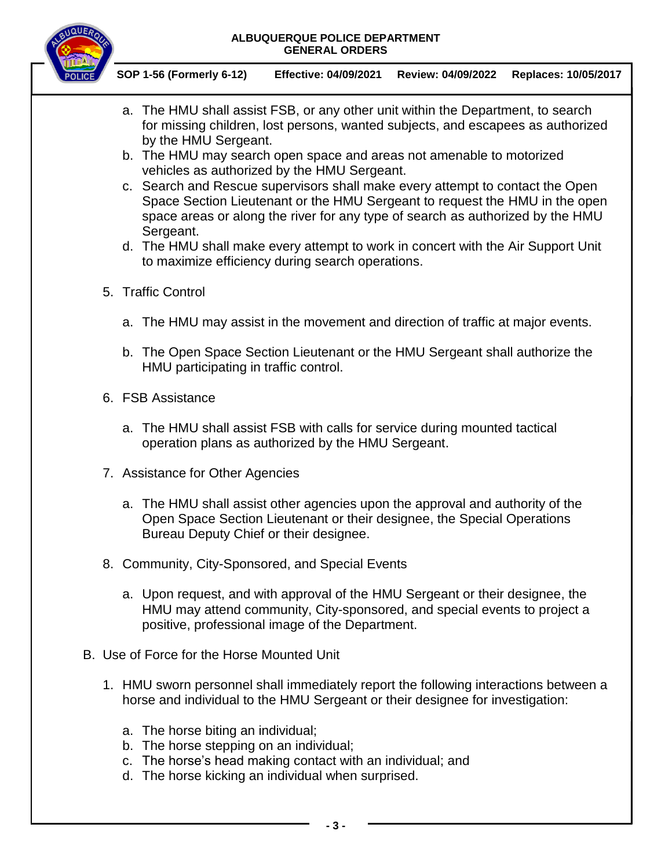

- a. The HMU shall assist FSB, or any other unit within the Department, to search for missing children, lost persons, wanted subjects, and escapees as authorized by the HMU Sergeant.
- b. The HMU may search open space and areas not amenable to motorized vehicles as authorized by the HMU Sergeant.
- c. Search and Rescue supervisors shall make every attempt to contact the Open Space Section Lieutenant or the HMU Sergeant to request the HMU in the open space areas or along the river for any type of search as authorized by the HMU Sergeant.
- d. The HMU shall make every attempt to work in concert with the Air Support Unit to maximize efficiency during search operations.
- 5. Traffic Control
	- a. The HMU may assist in the movement and direction of traffic at major events.
	- b. The Open Space Section Lieutenant or the HMU Sergeant shall authorize the HMU participating in traffic control.
- 6. FSB Assistance
	- a. The HMU shall assist FSB with calls for service during mounted tactical operation plans as authorized by the HMU Sergeant.
- 7. Assistance for Other Agencies
	- a. The HMU shall assist other agencies upon the approval and authority of the Open Space Section Lieutenant or their designee, the Special Operations Bureau Deputy Chief or their designee.
- 8. Community, City-Sponsored, and Special Events
	- a. Upon request, and with approval of the HMU Sergeant or their designee, the HMU may attend community, City-sponsored, and special events to project a positive, professional image of the Department.
- B. Use of Force for the Horse Mounted Unit
	- 1. HMU sworn personnel shall immediately report the following interactions between a horse and individual to the HMU Sergeant or their designee for investigation:
		- a. The horse biting an individual;
		- b. The horse stepping on an individual;
		- c. The horse's head making contact with an individual; and
		- d. The horse kicking an individual when surprised.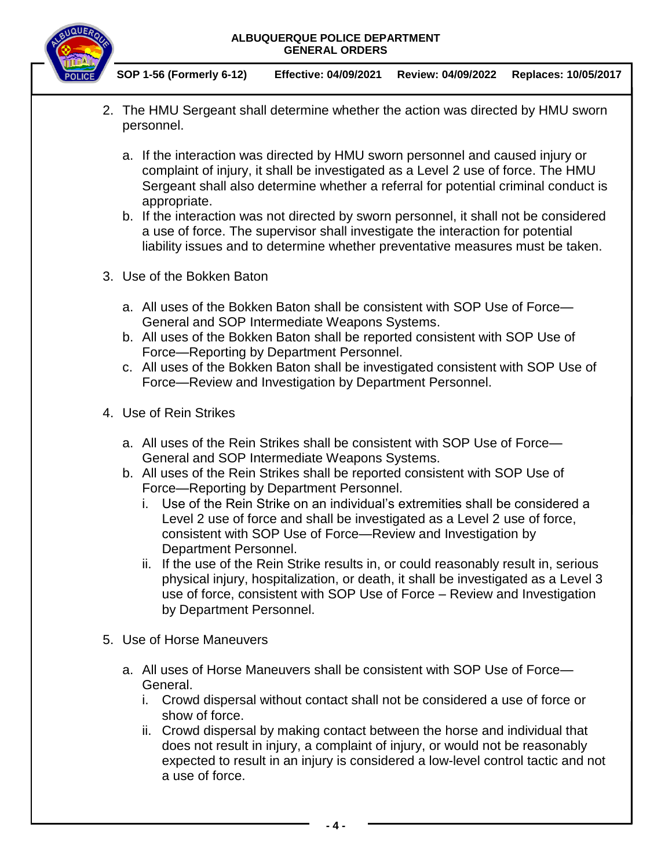

- 2. The HMU Sergeant shall determine whether the action was directed by HMU sworn personnel.
	- a. If the interaction was directed by HMU sworn personnel and caused injury or complaint of injury, it shall be investigated as a Level 2 use of force. The HMU Sergeant shall also determine whether a referral for potential criminal conduct is appropriate.
	- b. If the interaction was not directed by sworn personnel, it shall not be considered a use of force. The supervisor shall investigate the interaction for potential liability issues and to determine whether preventative measures must be taken.
- 3. Use of the Bokken Baton
	- a. All uses of the Bokken Baton shall be consistent with SOP Use of Force— General and SOP Intermediate Weapons Systems.
	- b. All uses of the Bokken Baton shall be reported consistent with SOP Use of Force—Reporting by Department Personnel.
	- c. All uses of the Bokken Baton shall be investigated consistent with SOP Use of Force—Review and Investigation by Department Personnel.
- 4. Use of Rein Strikes
	- a. All uses of the Rein Strikes shall be consistent with SOP Use of Force— General and SOP Intermediate Weapons Systems.
	- b. All uses of the Rein Strikes shall be reported consistent with SOP Use of Force—Reporting by Department Personnel.
		- i. Use of the Rein Strike on an individual's extremities shall be considered a Level 2 use of force and shall be investigated as a Level 2 use of force, consistent with SOP Use of Force—Review and Investigation by Department Personnel.
		- ii. If the use of the Rein Strike results in, or could reasonably result in, serious physical injury, hospitalization, or death, it shall be investigated as a Level 3 use of force, consistent with SOP Use of Force – Review and Investigation by Department Personnel.
- 5. Use of Horse Maneuvers
	- a. All uses of Horse Maneuvers shall be consistent with SOP Use of Force— General.
		- i. Crowd dispersal without contact shall not be considered a use of force or show of force.
		- ii. Crowd dispersal by making contact between the horse and individual that does not result in injury, a complaint of injury, or would not be reasonably expected to result in an injury is considered a low-level control tactic and not a use of force.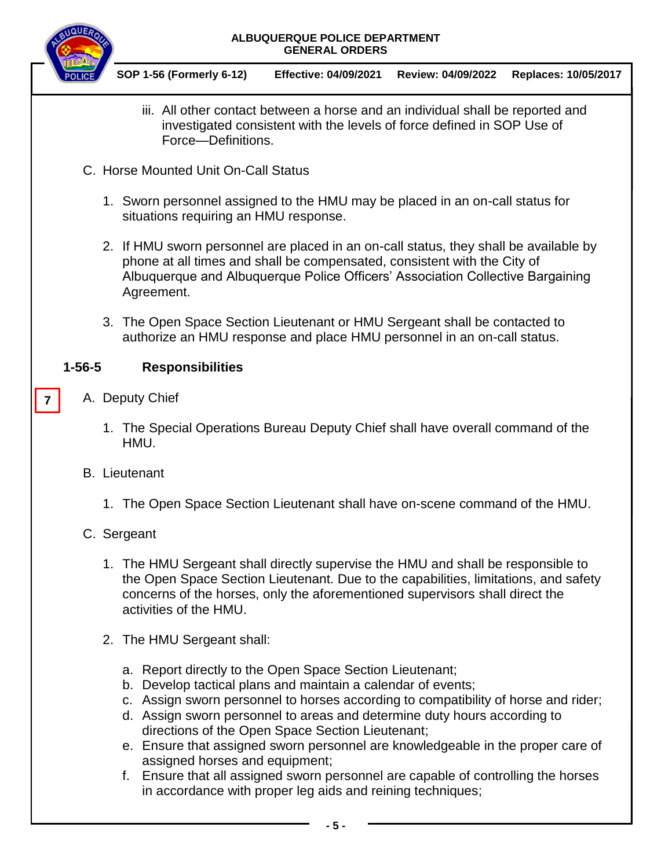



- iii. All other contact between a horse and an individual shall be reported and investigated consistent with the levels of force defined in SOP Use of Force—Definitions.
- C. Horse Mounted Unit On-Call Status
	- 1. Sworn personnel assigned to the HMU may be placed in an on-call status for situations requiring an HMU response.
	- 2. If HMU sworn personnel are placed in an on-call status, they shall be available by phone at all times and shall be compensated, consistent with the City of Albuquerque and Albuquerque Police Officers' Association Collective Bargaining Agreement.
	- 3. The Open Space Section Lieutenant or HMU Sergeant shall be contacted to authorize an HMU response and place HMU personnel in an on-call status.

## **1-56-5 Responsibilities**

A. Deputy Chief

**7**

- 1. The Special Operations Bureau Deputy Chief shall have overall command of the HMU.
- B. Lieutenant
	- 1. The Open Space Section Lieutenant shall have on-scene command of the HMU.

## C. Sergeant

- 1. The HMU Sergeant shall directly supervise the HMU and shall be responsible to the Open Space Section Lieutenant. Due to the capabilities, limitations, and safety concerns of the horses, only the aforementioned supervisors shall direct the activities of the HMU.
- 2. The HMU Sergeant shall:
	- a. Report directly to the Open Space Section Lieutenant;
	- b. Develop tactical plans and maintain a calendar of events;
	- c. Assign sworn personnel to horses according to compatibility of horse and rider;
	- d. Assign sworn personnel to areas and determine duty hours according to directions of the Open Space Section Lieutenant;
	- e. Ensure that assigned sworn personnel are knowledgeable in the proper care of assigned horses and equipment;
	- f. Ensure that all assigned sworn personnel are capable of controlling the horses in accordance with proper leg aids and reining techniques;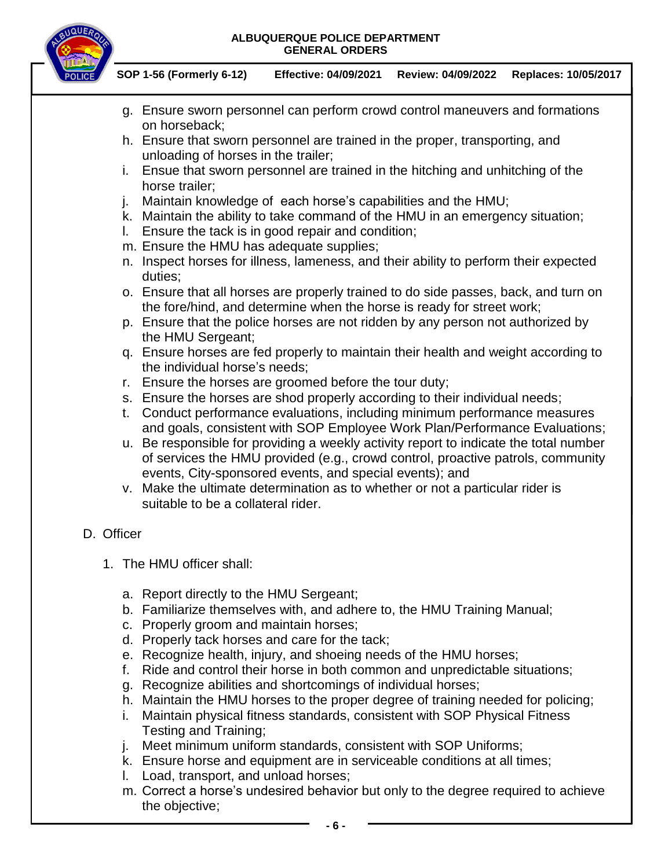

**SOP 1-56 (Formerly 6-12) Effective: 04/09/2021 Review: 04/09/2022 Replaces: 10/05/2017**

- g. Ensure sworn personnel can perform crowd control maneuvers and formations on horseback;
- h. Ensure that sworn personnel are trained in the proper, transporting, and unloading of horses in the trailer;
- i. Ensue that sworn personnel are trained in the hitching and unhitching of the horse trailer;
- j. Maintain knowledge of each horse's capabilities and the HMU;
- k. Maintain the ability to take command of the HMU in an emergency situation;
- l. Ensure the tack is in good repair and condition;
- m. Ensure the HMU has adequate supplies;
- n. Inspect horses for illness, lameness, and their ability to perform their expected duties;
- o. Ensure that all horses are properly trained to do side passes, back, and turn on the fore/hind, and determine when the horse is ready for street work;
- p. Ensure that the police horses are not ridden by any person not authorized by the HMU Sergeant;
- q. Ensure horses are fed properly to maintain their health and weight according to the individual horse's needs;
- r. Ensure the horses are groomed before the tour duty;
- s. Ensure the horses are shod properly according to their individual needs;
- t. Conduct performance evaluations, including minimum performance measures and goals, consistent with SOP Employee Work Plan/Performance Evaluations;
- u. Be responsible for providing a weekly activity report to indicate the total number of services the HMU provided (e.g., crowd control, proactive patrols, community events, City-sponsored events, and special events); and
- v. Make the ultimate determination as to whether or not a particular rider is suitable to be a collateral rider.

## D. Officer

- 1. The HMU officer shall:
	- a. Report directly to the HMU Sergeant;
	- b. Familiarize themselves with, and adhere to, the HMU Training Manual;
	- c. Properly groom and maintain horses;
	- d. Properly tack horses and care for the tack;
	- e. Recognize health, injury, and shoeing needs of the HMU horses;
	- f. Ride and control their horse in both common and unpredictable situations;
	- g. Recognize abilities and shortcomings of individual horses;
	- h. Maintain the HMU horses to the proper degree of training needed for policing;
	- i. Maintain physical fitness standards, consistent with SOP Physical Fitness Testing and Training;
	- j. Meet minimum uniform standards, consistent with SOP Uniforms;
	- k. Ensure horse and equipment are in serviceable conditions at all times;
	- l. Load, transport, and unload horses;
	- m. Correct a horse's undesired behavior but only to the degree required to achieve the objective;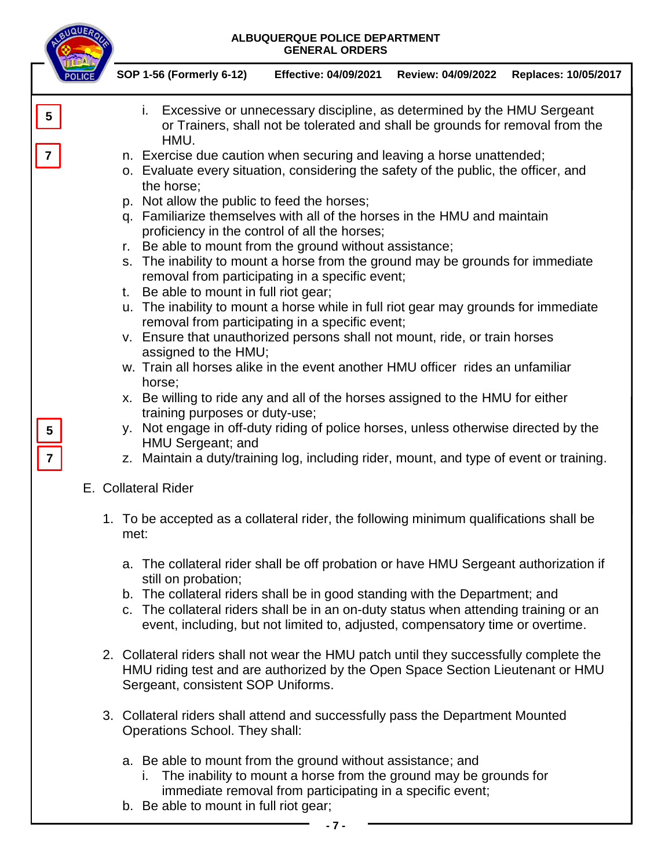|                                   |                                                                                                                                                                                                                                                                                                                                                                                                                                                                                                                                                                                                                                                                                                                                                                                                                                                                                                                                                                                                                                                                                                                                                                                                                                                                               | SOP 1-56 (Formerly 6-12)                     | <b>Effective: 04/09/2021</b>                                                                                                                                                                                                                                                                                                                  | Review: 04/09/2022 | <b>Replaces: 10/05/2017</b> |
|-----------------------------------|-------------------------------------------------------------------------------------------------------------------------------------------------------------------------------------------------------------------------------------------------------------------------------------------------------------------------------------------------------------------------------------------------------------------------------------------------------------------------------------------------------------------------------------------------------------------------------------------------------------------------------------------------------------------------------------------------------------------------------------------------------------------------------------------------------------------------------------------------------------------------------------------------------------------------------------------------------------------------------------------------------------------------------------------------------------------------------------------------------------------------------------------------------------------------------------------------------------------------------------------------------------------------------|----------------------------------------------|-----------------------------------------------------------------------------------------------------------------------------------------------------------------------------------------------------------------------------------------------------------------------------------------------------------------------------------------------|--------------------|-----------------------------|
| 5                                 |                                                                                                                                                                                                                                                                                                                                                                                                                                                                                                                                                                                                                                                                                                                                                                                                                                                                                                                                                                                                                                                                                                                                                                                                                                                                               | i.<br>HMU.                                   | Excessive or unnecessary discipline, as determined by the HMU Sergeant<br>or Trainers, shall not be tolerated and shall be grounds for removal from the                                                                                                                                                                                       |                    |                             |
| 7<br>5<br>$\overline{\mathbf{7}}$ | n. Exercise due caution when securing and leaving a horse unattended;<br>o. Evaluate every situation, considering the safety of the public, the officer, and<br>the horse;<br>p. Not allow the public to feed the horses;<br>q. Familiarize themselves with all of the horses in the HMU and maintain<br>proficiency in the control of all the horses;<br>Be able to mount from the ground without assistance;<br>r.<br>s. The inability to mount a horse from the ground may be grounds for immediate<br>removal from participating in a specific event;<br>Be able to mount in full riot gear;<br>t.<br>u. The inability to mount a horse while in full riot gear may grounds for immediate<br>removal from participating in a specific event;<br>v. Ensure that unauthorized persons shall not mount, ride, or train horses<br>assigned to the HMU;<br>w. Train all horses alike in the event another HMU officer rides an unfamiliar<br>horse;<br>x. Be willing to ride any and all of the horses assigned to the HMU for either<br>training purposes or duty-use;<br>y. Not engage in off-duty riding of police horses, unless otherwise directed by the<br>HMU Sergeant; and<br>z. Maintain a duty/training log, including rider, mount, and type of event or training. |                                              |                                                                                                                                                                                                                                                                                                                                               |                    |                             |
|                                   | E. Collateral Rider<br>1. To be accepted as a collateral rider, the following minimum qualifications shall be<br>met:                                                                                                                                                                                                                                                                                                                                                                                                                                                                                                                                                                                                                                                                                                                                                                                                                                                                                                                                                                                                                                                                                                                                                         |                                              |                                                                                                                                                                                                                                                                                                                                               |                    |                             |
|                                   |                                                                                                                                                                                                                                                                                                                                                                                                                                                                                                                                                                                                                                                                                                                                                                                                                                                                                                                                                                                                                                                                                                                                                                                                                                                                               |                                              |                                                                                                                                                                                                                                                                                                                                               |                    |                             |
|                                   |                                                                                                                                                                                                                                                                                                                                                                                                                                                                                                                                                                                                                                                                                                                                                                                                                                                                                                                                                                                                                                                                                                                                                                                                                                                                               | still on probation;                          | a. The collateral rider shall be off probation or have HMU Sergeant authorization if<br>b. The collateral riders shall be in good standing with the Department; and<br>c. The collateral riders shall be in an on-duty status when attending training or an<br>event, including, but not limited to, adjusted, compensatory time or overtime. |                    |                             |
|                                   |                                                                                                                                                                                                                                                                                                                                                                                                                                                                                                                                                                                                                                                                                                                                                                                                                                                                                                                                                                                                                                                                                                                                                                                                                                                                               | Sergeant, consistent SOP Uniforms.           | 2. Collateral riders shall not wear the HMU patch until they successfully complete the<br>HMU riding test and are authorized by the Open Space Section Lieutenant or HMU                                                                                                                                                                      |                    |                             |
|                                   |                                                                                                                                                                                                                                                                                                                                                                                                                                                                                                                                                                                                                                                                                                                                                                                                                                                                                                                                                                                                                                                                                                                                                                                                                                                                               | Operations School. They shall:               | 3. Collateral riders shall attend and successfully pass the Department Mounted                                                                                                                                                                                                                                                                |                    |                             |
|                                   |                                                                                                                                                                                                                                                                                                                                                                                                                                                                                                                                                                                                                                                                                                                                                                                                                                                                                                                                                                                                                                                                                                                                                                                                                                                                               | L.<br>b. Be able to mount in full riot gear; | a. Be able to mount from the ground without assistance; and<br>The inability to mount a horse from the ground may be grounds for<br>immediate removal from participating in a specific event;                                                                                                                                                 |                    |                             |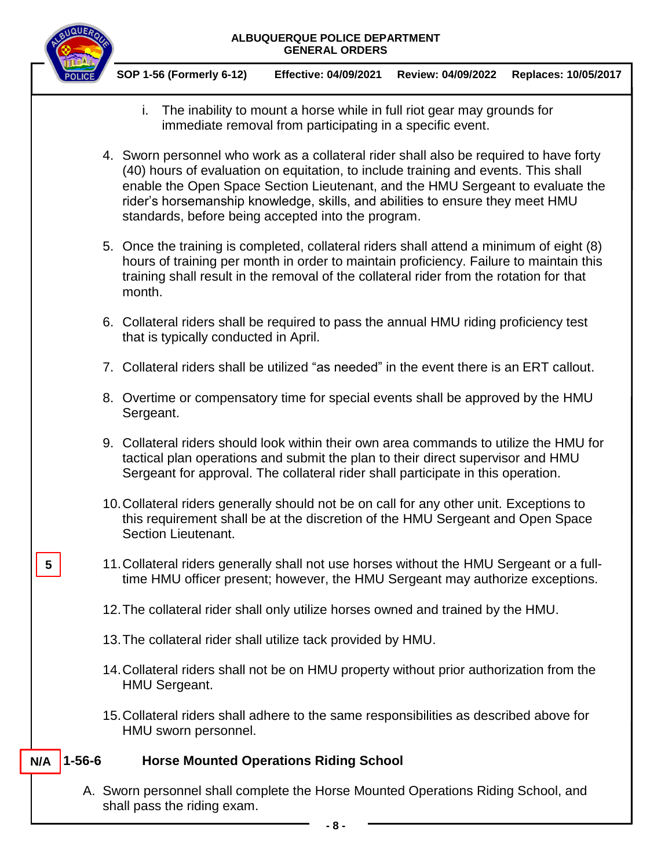

**5**

**SOP 1-56 (Formerly 6-12) Effective: 04/09/2021 Review: 04/09/2022 Replaces: 10/05/2017**

- i. The inability to mount a horse while in full riot gear may grounds for immediate removal from participating in a specific event.
- 4. Sworn personnel who work as a collateral rider shall also be required to have forty (40) hours of evaluation on equitation, to include training and events. This shall enable the Open Space Section Lieutenant, and the HMU Sergeant to evaluate the rider's horsemanship knowledge, skills, and abilities to ensure they meet HMU standards, before being accepted into the program.
- 5. Once the training is completed, collateral riders shall attend a minimum of eight (8) hours of training per month in order to maintain proficiency. Failure to maintain this training shall result in the removal of the collateral rider from the rotation for that month.
- 6. Collateral riders shall be required to pass the annual HMU riding proficiency test that is typically conducted in April.
- 7. Collateral riders shall be utilized "as needed" in the event there is an ERT callout.
- 8. Overtime or compensatory time for special events shall be approved by the HMU Sergeant.
- 9. Collateral riders should look within their own area commands to utilize the HMU for tactical plan operations and submit the plan to their direct supervisor and HMU Sergeant for approval. The collateral rider shall participate in this operation.
- 10.Collateral riders generally should not be on call for any other unit. Exceptions to this requirement shall be at the discretion of the HMU Sergeant and Open Space Section Lieutenant.
- 11.Collateral riders generally shall not use horses without the HMU Sergeant or a fulltime HMU officer present; however, the HMU Sergeant may authorize exceptions.
- 12.The collateral rider shall only utilize horses owned and trained by the HMU.
- 13.The collateral rider shall utilize tack provided by HMU.
- 14.Collateral riders shall not be on HMU property without prior authorization from the HMU Sergeant.
- 15.Collateral riders shall adhere to the same responsibilities as described above for HMU sworn personnel.

#### **1-56-6 Horse Mounted Operations Riding School N/A**

A. Sworn personnel shall complete the Horse Mounted Operations Riding School, and shall pass the riding exam.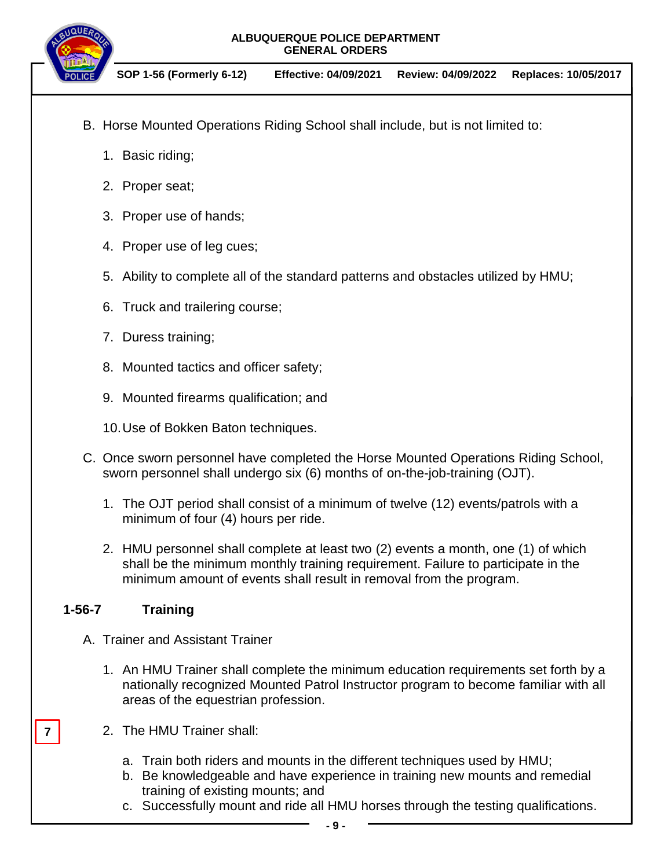

**SOP 1-56 (Formerly 6-12) Effective: 04/09/2021 Review: 04/09/2022 Replaces: 10/05/2017**

- B. Horse Mounted Operations Riding School shall include, but is not limited to:
	- 1. Basic riding;
	- 2. Proper seat;
	- 3. Proper use of hands;
	- 4. Proper use of leg cues;
	- 5. Ability to complete all of the standard patterns and obstacles utilized by HMU;
	- 6. Truck and trailering course;
	- 7. Duress training;
	- 8. Mounted tactics and officer safety;
	- 9. Mounted firearms qualification; and
	- 10.Use of Bokken Baton techniques.
- C. Once sworn personnel have completed the Horse Mounted Operations Riding School, sworn personnel shall undergo six (6) months of on-the-job-training (OJT).
	- 1. The OJT period shall consist of a minimum of twelve (12) events/patrols with a minimum of four (4) hours per ride.
	- 2. HMU personnel shall complete at least two (2) events a month, one (1) of which shall be the minimum monthly training requirement. Failure to participate in the minimum amount of events shall result in removal from the program.

#### **1-56-7 Training**

**7**

- A. Trainer and Assistant Trainer
	- 1. An HMU Trainer shall complete the minimum education requirements set forth by a nationally recognized Mounted Patrol Instructor program to become familiar with all areas of the equestrian profession.
	- 2. The HMU Trainer shall:
		- a. Train both riders and mounts in the different techniques used by HMU;
		- b. Be knowledgeable and have experience in training new mounts and remedial training of existing mounts; and
		- c. Successfully mount and ride all HMU horses through the testing qualifications.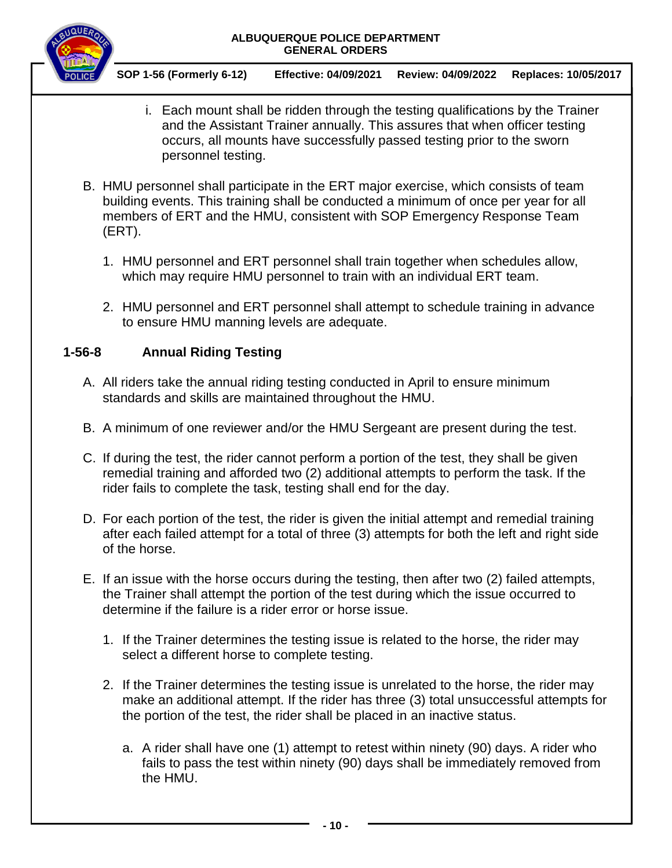

**SOP 1-56 (Formerly 6-12) Effective: 04/09/2021 Review: 04/09/2022 Replaces: 10/05/2017**

- i. Each mount shall be ridden through the testing qualifications by the Trainer and the Assistant Trainer annually. This assures that when officer testing occurs, all mounts have successfully passed testing prior to the sworn personnel testing.
- B. HMU personnel shall participate in the ERT major exercise, which consists of team building events. This training shall be conducted a minimum of once per year for all members of ERT and the HMU, consistent with SOP Emergency Response Team (ERT).
	- 1. HMU personnel and ERT personnel shall train together when schedules allow, which may require HMU personnel to train with an individual ERT team.
	- 2. HMU personnel and ERT personnel shall attempt to schedule training in advance to ensure HMU manning levels are adequate.

## **1-56-8 Annual Riding Testing**

- A. All riders take the annual riding testing conducted in April to ensure minimum standards and skills are maintained throughout the HMU.
- B. A minimum of one reviewer and/or the HMU Sergeant are present during the test.
- C. If during the test, the rider cannot perform a portion of the test, they shall be given remedial training and afforded two (2) additional attempts to perform the task. If the rider fails to complete the task, testing shall end for the day.
- D. For each portion of the test, the rider is given the initial attempt and remedial training after each failed attempt for a total of three (3) attempts for both the left and right side of the horse.
- E. If an issue with the horse occurs during the testing, then after two (2) failed attempts, the Trainer shall attempt the portion of the test during which the issue occurred to determine if the failure is a rider error or horse issue.
	- 1. If the Trainer determines the testing issue is related to the horse, the rider may select a different horse to complete testing.
	- 2. If the Trainer determines the testing issue is unrelated to the horse, the rider may make an additional attempt. If the rider has three (3) total unsuccessful attempts for the portion of the test, the rider shall be placed in an inactive status.
		- a. A rider shall have one (1) attempt to retest within ninety (90) days. A rider who fails to pass the test within ninety (90) days shall be immediately removed from the HMU.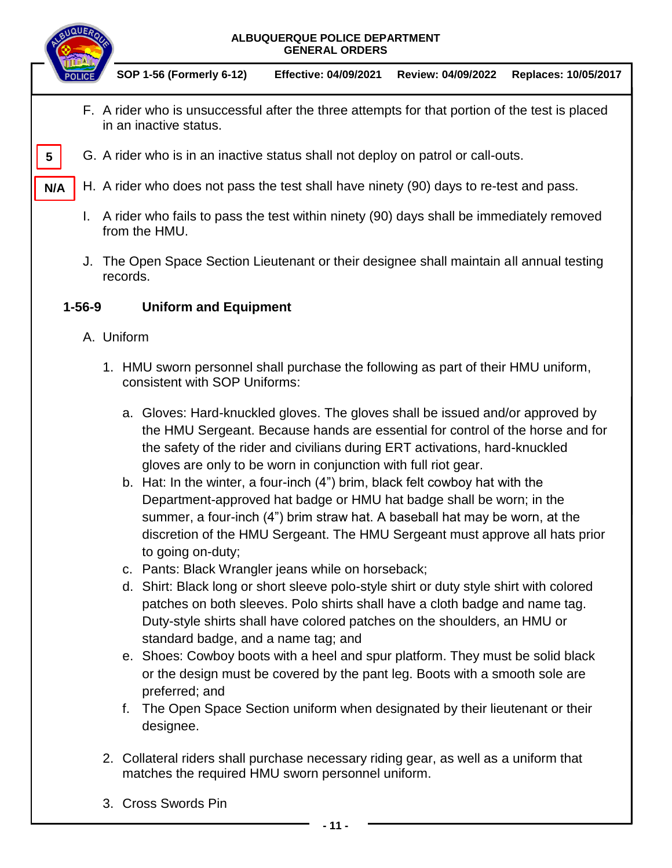

## **1-56-9 Uniform and Equipment**

- A. Uniform
	- 1. HMU sworn personnel shall purchase the following as part of their HMU uniform, consistent with SOP Uniforms:
		- a. Gloves: Hard-knuckled gloves. The gloves shall be issued and/or approved by the HMU Sergeant. Because hands are essential for control of the horse and for the safety of the rider and civilians during ERT activations, hard-knuckled gloves are only to be worn in conjunction with full riot gear.
		- b. Hat: In the winter, a four-inch (4") brim, black felt cowboy hat with the Department-approved hat badge or HMU hat badge shall be worn; in the summer, a four-inch (4") brim straw hat. A baseball hat may be worn, at the discretion of the HMU Sergeant. The HMU Sergeant must approve all hats prior to going on-duty;
		- c. Pants: Black Wrangler jeans while on horseback;
		- d. Shirt: Black long or short sleeve polo-style shirt or duty style shirt with colored patches on both sleeves. Polo shirts shall have a cloth badge and name tag. Duty-style shirts shall have colored patches on the shoulders, an HMU or standard badge, and a name tag; and
		- e. Shoes: Cowboy boots with a heel and spur platform. They must be solid black or the design must be covered by the pant leg. Boots with a smooth sole are preferred; and
		- f. The Open Space Section uniform when designated by their lieutenant or their designee.
	- 2. Collateral riders shall purchase necessary riding gear, as well as a uniform that matches the required HMU sworn personnel uniform.
	- 3. Cross Swords Pin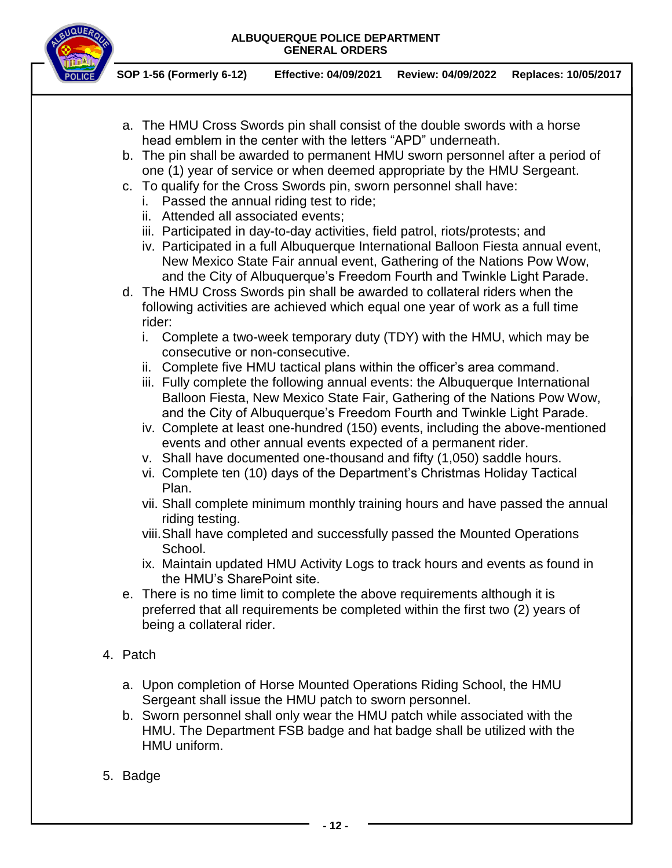

- a. The HMU Cross Swords pin shall consist of the double swords with a horse head emblem in the center with the letters "APD" underneath.
- b. The pin shall be awarded to permanent HMU sworn personnel after a period of one (1) year of service or when deemed appropriate by the HMU Sergeant.
- c. To qualify for the Cross Swords pin, sworn personnel shall have:
	- i. Passed the annual riding test to ride;
	- ii. Attended all associated events;
	- iii. Participated in day-to-day activities, field patrol, riots/protests; and
	- iv. Participated in a full Albuquerque International Balloon Fiesta annual event, New Mexico State Fair annual event, Gathering of the Nations Pow Wow, and the City of Albuquerque's Freedom Fourth and Twinkle Light Parade.
- d. The HMU Cross Swords pin shall be awarded to collateral riders when the following activities are achieved which equal one year of work as a full time rider:
	- i. Complete a two-week temporary duty (TDY) with the HMU, which may be consecutive or non-consecutive.
	- ii. Complete five HMU tactical plans within the officer's area command.
	- iii. Fully complete the following annual events: the Albuquerque International Balloon Fiesta, New Mexico State Fair, Gathering of the Nations Pow Wow, and the City of Albuquerque's Freedom Fourth and Twinkle Light Parade.
	- iv. Complete at least one-hundred (150) events, including the above-mentioned events and other annual events expected of a permanent rider.
	- v. Shall have documented one-thousand and fifty (1,050) saddle hours.
	- vi. Complete ten (10) days of the Department's Christmas Holiday Tactical Plan.
	- vii. Shall complete minimum monthly training hours and have passed the annual riding testing.
	- viii.Shall have completed and successfully passed the Mounted Operations School.
	- ix. Maintain updated HMU Activity Logs to track hours and events as found in the HMU's SharePoint site.
- e. There is no time limit to complete the above requirements although it is preferred that all requirements be completed within the first two (2) years of being a collateral rider.
- 4. Patch
	- a. Upon completion of Horse Mounted Operations Riding School, the HMU Sergeant shall issue the HMU patch to sworn personnel.
	- b. Sworn personnel shall only wear the HMU patch while associated with the HMU. The Department FSB badge and hat badge shall be utilized with the HMU uniform.
- 5. Badge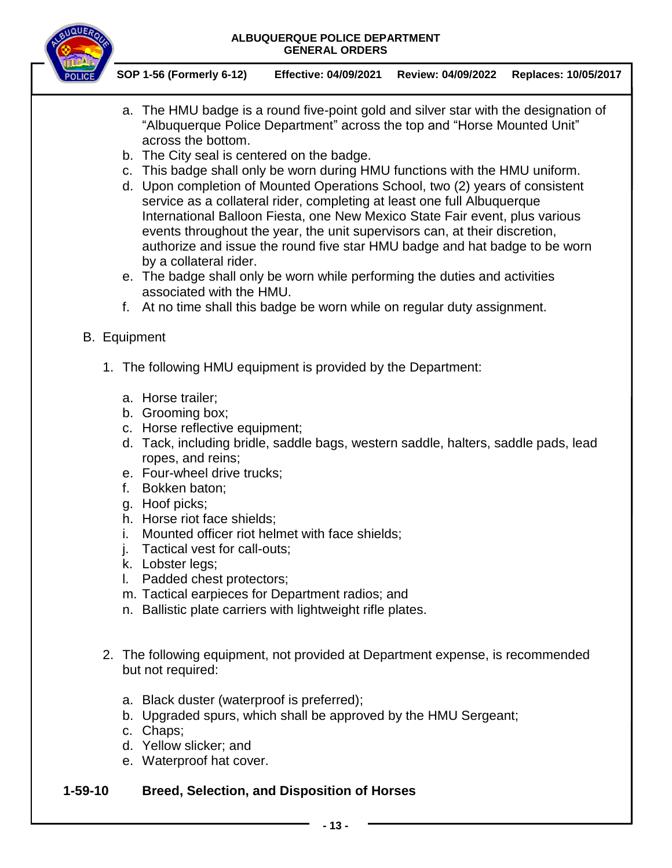

**SOP 1-56 (Formerly 6-12) Effective: 04/09/2021 Review: 04/09/2022 Replaces: 10/05/2017**

- a. The HMU badge is a round five-point gold and silver star with the designation of "Albuquerque Police Department" across the top and "Horse Mounted Unit" across the bottom.
- b. The City seal is centered on the badge.
- c. This badge shall only be worn during HMU functions with the HMU uniform.
- d. Upon completion of Mounted Operations School, two (2) years of consistent service as a collateral rider, completing at least one full Albuquerque International Balloon Fiesta, one New Mexico State Fair event, plus various events throughout the year, the unit supervisors can, at their discretion, authorize and issue the round five star HMU badge and hat badge to be worn by a collateral rider.
- e. The badge shall only be worn while performing the duties and activities associated with the HMU.
- f. At no time shall this badge be worn while on regular duty assignment.
- B. Equipment
	- 1. The following HMU equipment is provided by the Department:
		- a. Horse trailer;
		- b. Grooming box;
		- c. Horse reflective equipment;
		- d. Tack, including bridle, saddle bags, western saddle, halters, saddle pads, lead ropes, and reins;
		- e. Four-wheel drive trucks;
		- f. Bokken baton;
		- g. Hoof picks;
		- h. Horse riot face shields;
		- i. Mounted officer riot helmet with face shields;
		- j. Tactical vest for call-outs;
		- k. Lobster legs;
		- l. Padded chest protectors;
		- m. Tactical earpieces for Department radios; and
		- n. Ballistic plate carriers with lightweight rifle plates.
	- 2. The following equipment, not provided at Department expense, is recommended but not required:
		- a. Black duster (waterproof is preferred);
		- b. Upgraded spurs, which shall be approved by the HMU Sergeant;
		- c. Chaps;
		- d. Yellow slicker; and
		- e. Waterproof hat cover.

## **1-59-10 Breed, Selection, and Disposition of Horses**